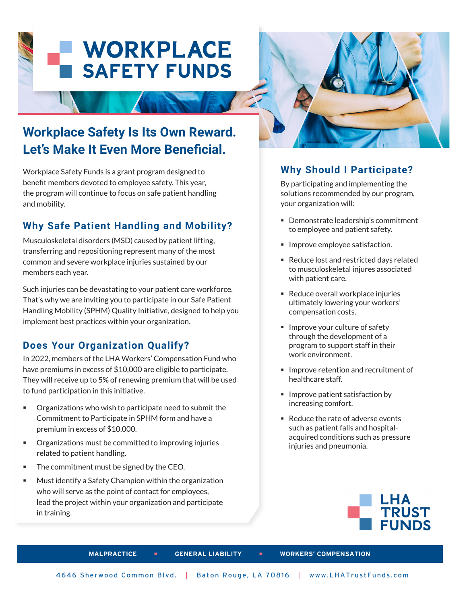# **WORKPLACE SAFETY FUNDS**

## **Workplace Safety Is Its Own Reward. Let's Make It Even More Beneficial.**

Workplace Safety Funds is a grant program designed to benefit members devoted to employee safety. This year, the program will continue to focus on safe patient handling and mobility.

#### **Why Safe Patient Handling and Mobility?**

Musculoskeletal disorders (MSD) caused by patient lifting, transferring and repositioning represent many of the most common and severe workplace injuries sustained by our members each year.

Such injuries can be devastating to your patient care workforce. That's why we are inviting you to participate in our Safe Patient Handling Mobility (SPHM) Quality Initiative, designed to help you implement best practices within your organization.

#### **Does Your Organization Qualify?**

In 2022, members of the LHA Workers' Compensation Fund who have premiums in excess of \$10,000 are eligible to participate. They will receive up to 5% of renewing premium that will be used to fund participation in this initiative.

- Organizations who wish to participate need to submit the Commitment to Participate in SPHM form and have a premium in excess of \$10,000.
- Organizations must be committed to improving injuries related to patient handling.
- The commitment must be signed by the CEO.
- Must identify a Safety Champion within the organization who will serve as the point of contact for employees, lead the project within your organization and participate in training.



#### **Why Should I Participate?**

By participating and implementing the solutions recommended by our program, your organization will:

- Demonstrate leadership's commitment to employee and patient safety.
- **Improve employee satisfaction.**
- Reduce lost and restricted days related to musculoskeletal injures associated with patient care.
- Reduce overall workplace injuries ultimately lowering your workers' compensation costs.
- **Improve your culture of safety** through the development of a program to support staff in their work environment.
- Improve retention and recruitment of healthcare staff.
- **Improve patient satisfaction by** increasing comfort.
- Reduce the rate of adverse events such as patient falls and hospitalacquired conditions such as pressure injuries and pneumonia.